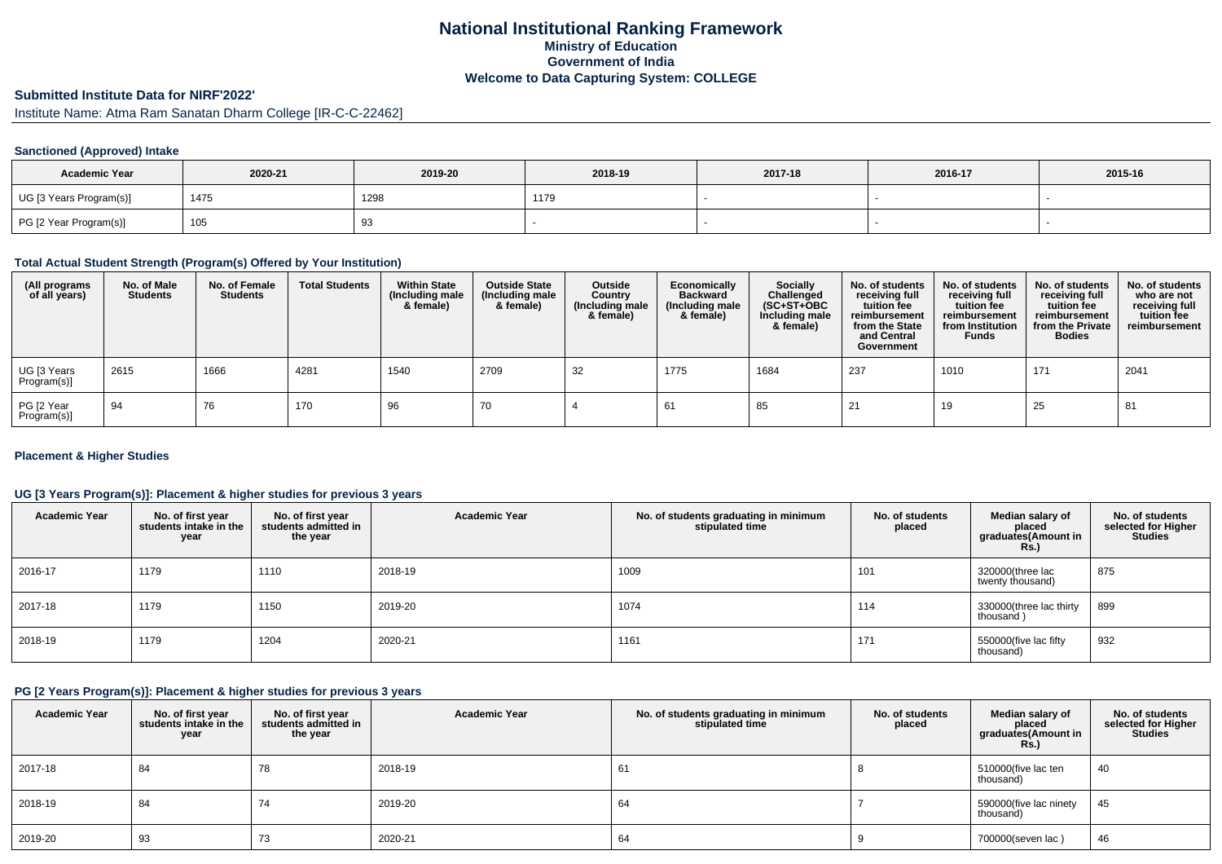# **National Institutional Ranking FrameworkMinistry of Education Government of IndiaWelcome to Data Capturing System: COLLEGE**

# **Submitted Institute Data for NIRF'2022'**

Institute Name: Atma Ram Sanatan Dharm College [IR-C-C-22462]

#### **Sanctioned (Approved) Intake**

| <b>Academic Year</b>    | 2020-21 | 2019-20 | 2018-19 | 2017-18 | 2016-17 | 2015-16 |
|-------------------------|---------|---------|---------|---------|---------|---------|
| UG [3 Years Program(s)] | 1475    | 1298    | 1179    |         |         |         |
| PG [2 Year Program(s)]  | 105     | ູບ      |         |         |         |         |

#### **Total Actual Student Strength (Program(s) Offered by Your Institution)**

| (All programs<br>of all years) | No. of Male<br><b>Students</b> | No. of Female<br><b>Students</b> | <b>Total Students</b> | <b>Within State</b><br>(Including male<br>& female) | <b>Outside State</b><br>(Including male<br>& female) | Outside<br>Country<br>(Including male<br>& female) | Economically<br><b>Backward</b><br>(Including male<br>& female) | <b>Socially</b><br>Challenged<br>$(SC+ST+OBC)$<br>Including male<br>& female) | No. of students<br>receiving full<br>tuition fee<br>reimbursement<br>from the State<br>and Central<br>Government | No. of students<br>receiving full<br>tuition fee<br>reimbursement<br>from Institution<br><b>Funds</b> | No. of students<br>receiving full<br>tuition fee<br>reimbursement<br>from the Private<br><b>Bodies</b> | No. of students<br>who are not<br>receiving full<br>tuition fee<br>reimbursement |
|--------------------------------|--------------------------------|----------------------------------|-----------------------|-----------------------------------------------------|------------------------------------------------------|----------------------------------------------------|-----------------------------------------------------------------|-------------------------------------------------------------------------------|------------------------------------------------------------------------------------------------------------------|-------------------------------------------------------------------------------------------------------|--------------------------------------------------------------------------------------------------------|----------------------------------------------------------------------------------|
| UG [3 Years<br>Program(s)]     | 2615                           | 1666                             | 4281                  | 1540                                                | 2709                                                 | 32                                                 | 1775                                                            | 1684                                                                          | 237                                                                                                              | 1010                                                                                                  | 171                                                                                                    | 2041                                                                             |
| PG [2 Year<br>Program(s)]      | 94                             | 76                               | 170                   | 96                                                  | 70                                                   |                                                    | 61                                                              | 85                                                                            | 21                                                                                                               | 19                                                                                                    | 25                                                                                                     | 81                                                                               |

#### **Placement & Higher Studies**

#### **UG [3 Years Program(s)]: Placement & higher studies for previous 3 years**

| <b>Academic Year</b> | No. of first year<br>students intake in the<br>year | No. of first year<br>students admitted in<br>the year | <b>Academic Year</b> | No. of students graduating in minimum<br>stipulated time | No. of students<br>placed | Median salary of<br>placed<br>graduates(Amount in<br><b>Rs.)</b> | No. of students<br>selected for Higher<br><b>Studies</b> |
|----------------------|-----------------------------------------------------|-------------------------------------------------------|----------------------|----------------------------------------------------------|---------------------------|------------------------------------------------------------------|----------------------------------------------------------|
| 2016-17              | 1179                                                | 1110                                                  | 2018-19              | 1009                                                     | 101                       | 320000(three lac<br>twenty thousand)                             | 875                                                      |
| 2017-18              | 1179                                                | 1150                                                  | 2019-20              | 1074                                                     | 114                       | 330000(three lac thirty<br>thousand)                             | 899                                                      |
| 2018-19              | 1179                                                | 1204                                                  | 2020-21              | 1161                                                     | 171                       | 550000(five lac fifty<br>thousand)                               | 932                                                      |

#### **PG [2 Years Program(s)]: Placement & higher studies for previous 3 years**

| <b>Academic Year</b> | No. of first year<br>students intake in the<br>year | No. of first year<br>students admitted in<br>the year | <b>Academic Year</b> | No. of students graduating in minimum<br>stipulated time | No. of students<br>placed | Median salary of<br>placed<br>graduates(Amount in<br>Rs. | No. of students<br>selected for Higher<br><b>Studies</b> |
|----------------------|-----------------------------------------------------|-------------------------------------------------------|----------------------|----------------------------------------------------------|---------------------------|----------------------------------------------------------|----------------------------------------------------------|
| 2017-18              | 84                                                  | 78                                                    | 2018-19              | 61                                                       |                           | 510000(five lac ten<br>thousand)                         | 40                                                       |
| 2018-19              | 84                                                  | 74                                                    | 2019-20              | 64                                                       |                           | 590000(five lac ninety<br>thousand)                      | 45                                                       |
| 2019-20              | 93                                                  | 73                                                    | 2020-21              | 64                                                       |                           | 700000(seven lac)                                        | 46                                                       |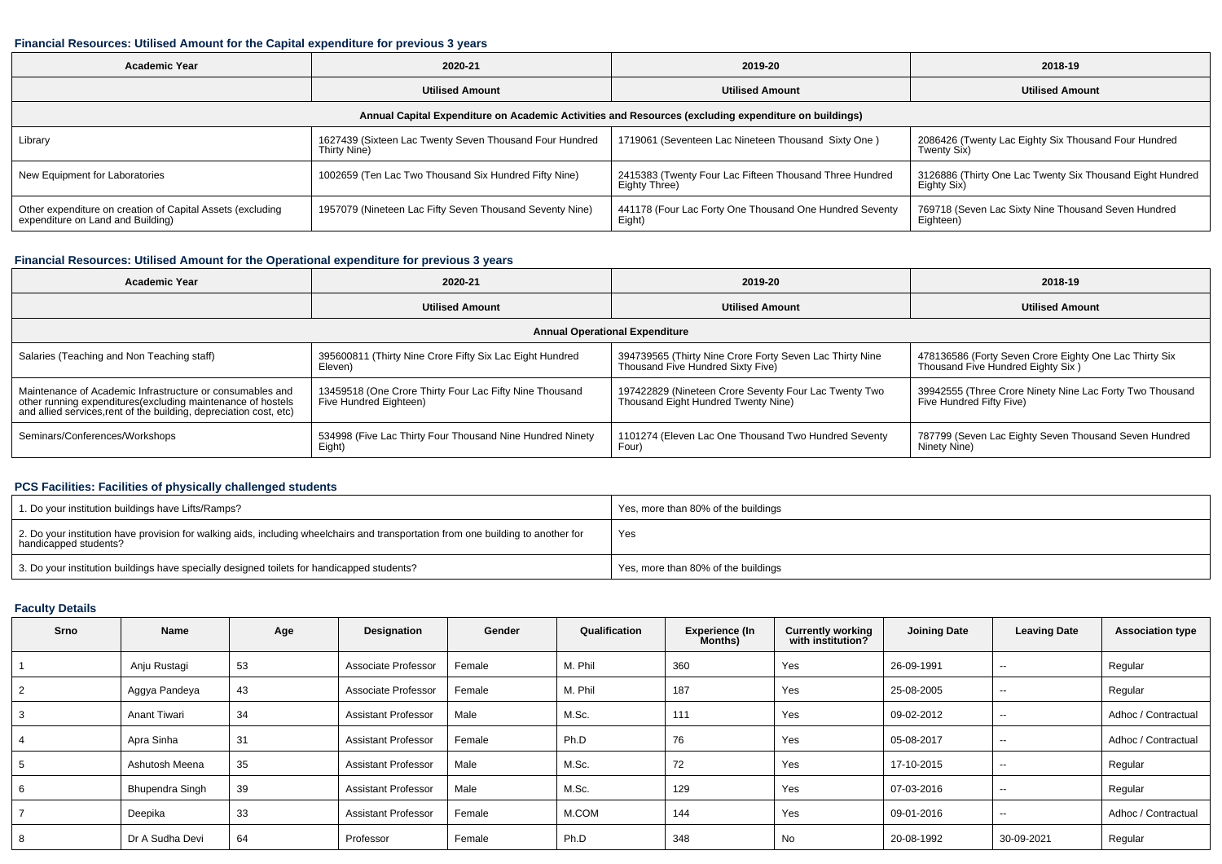#### **Financial Resources: Utilised Amount for the Capital expenditure for previous 3 years**

| <b>Academic Year</b>                                                                            | 2020-21                                                                 | 2019-20                                                                                              | 2018-19                                                                  |  |
|-------------------------------------------------------------------------------------------------|-------------------------------------------------------------------------|------------------------------------------------------------------------------------------------------|--------------------------------------------------------------------------|--|
| <b>Utilised Amount</b>                                                                          |                                                                         | <b>Utilised Amount</b>                                                                               | <b>Utilised Amount</b>                                                   |  |
|                                                                                                 |                                                                         | Annual Capital Expenditure on Academic Activities and Resources (excluding expenditure on buildings) |                                                                          |  |
| Library                                                                                         | 1627439 (Sixteen Lac Twenty Seven Thousand Four Hundred<br>Thirty Nine) | 1719061 (Seventeen Lac Nineteen Thousand Sixty One)                                                  | 2086426 (Twenty Lac Eighty Six Thousand Four Hundred<br>Twenty Six)      |  |
| New Equipment for Laboratories                                                                  | 1002659 (Ten Lac Two Thousand Six Hundred Fifty Nine)                   | 2415383 (Twenty Four Lac Fifteen Thousand Three Hundred<br>Eighty Three)                             | 3126886 (Thirty One Lac Twenty Six Thousand Eight Hundred<br>Eighty Six) |  |
| Other expenditure on creation of Capital Assets (excluding<br>expenditure on Land and Building) | 1957079 (Nineteen Lac Fifty Seven Thousand Seventy Nine)                | 441178 (Four Lac Forty One Thousand One Hundred Seventy<br>Eight)                                    | 769718 (Seven Lac Sixty Nine Thousand Seven Hundred<br>Eighteen)         |  |

### **Financial Resources: Utilised Amount for the Operational expenditure for previous 3 years**

| <b>Academic Year</b>                                                                                                                                                                           | 2020-21                                                                           | 2019-20                                                                                       | 2018-19                                                                                     |  |
|------------------------------------------------------------------------------------------------------------------------------------------------------------------------------------------------|-----------------------------------------------------------------------------------|-----------------------------------------------------------------------------------------------|---------------------------------------------------------------------------------------------|--|
| <b>Utilised Amount</b>                                                                                                                                                                         |                                                                                   | <b>Utilised Amount</b>                                                                        | <b>Utilised Amount</b>                                                                      |  |
|                                                                                                                                                                                                |                                                                                   | <b>Annual Operational Expenditure</b>                                                         |                                                                                             |  |
| Salaries (Teaching and Non Teaching staff)                                                                                                                                                     | 395600811 (Thirty Nine Crore Fifty Six Lac Eight Hundred<br>Eleven)               | 394739565 (Thirty Nine Crore Forty Seven Lac Thirty Nine<br>Thousand Five Hundred Sixty Five) | 478136586 (Forty Seven Crore Eighty One Lac Thirty Six<br>Thousand Five Hundred Eighty Six) |  |
| Maintenance of Academic Infrastructure or consumables and<br>other running expenditures(excluding maintenance of hostels<br>and allied services, rent of the building, depreciation cost, etc) | 13459518 (One Crore Thirty Four Lac Fifty Nine Thousand<br>Five Hundred Eighteen) | 197422829 (Nineteen Crore Seventy Four Lac Twenty Two<br>Thousand Eight Hundred Twenty Nine)  | 39942555 (Three Crore Ninety Nine Lac Forty Two Thousand<br>Five Hundred Fifty Five)        |  |
| Seminars/Conferences/Workshops                                                                                                                                                                 | 534998 (Five Lac Thirty Four Thousand Nine Hundred Ninety<br>Eight)               | 1101274 (Eleven Lac One Thousand Two Hundred Seventy<br>Four)                                 | 787799 (Seven Lac Eighty Seven Thousand Seven Hundred<br>Ninety Nine)                       |  |

#### **PCS Facilities: Facilities of physically challenged students**

| 1. Do your institution buildings have Lifts/Ramps?                                                                                                         | Yes, more than 80% of the buildings |
|------------------------------------------------------------------------------------------------------------------------------------------------------------|-------------------------------------|
| 2. Do your institution have provision for walking aids, including wheelchairs and transportation from one building to another for<br>handicapped students? | Yes                                 |
| 3. Do your institution buildings have specially designed toilets for handicapped students?                                                                 | Yes, more than 80% of the buildings |

## **Faculty Details**

| Srno | Name            | Age | Designation                | Gender | Qualification | <b>Experience (In</b><br>Months) | <b>Currently working</b><br>with institution? | <b>Joining Date</b> | <b>Leaving Date</b>      | <b>Association type</b> |
|------|-----------------|-----|----------------------------|--------|---------------|----------------------------------|-----------------------------------------------|---------------------|--------------------------|-------------------------|
|      | Anju Rustagi    | 53  | Associate Professor        | Female | M. Phil       | 360                              | Yes                                           | 26-09-1991          | $\sim$                   | Regular                 |
|      | Aggya Pandeya   | 43  | Associate Professor        | Female | M. Phil       | 187                              | Yes                                           | 25-08-2005          | $- -$                    | Regular                 |
|      | Anant Tiwari    | 34  | <b>Assistant Professor</b> | Male   | M.Sc.         | 111                              | Yes                                           | 09-02-2012          | $- -$                    | Adhoc / Contractual     |
|      | Apra Sinha      | 31  | <b>Assistant Professor</b> | Female | Ph.D          | 76                               | Yes                                           | 05-08-2017          | $- -$                    | Adhoc / Contractual     |
|      | Ashutosh Meena  | 35  | <b>Assistant Professor</b> | Male   | M.Sc.         | 72                               | Yes                                           | 17-10-2015          | $\sim$                   | Regular                 |
|      | Bhupendra Singh | 39  | <b>Assistant Professor</b> | Male   | M.Sc.         | 129                              | Yes                                           | 07-03-2016          | $\overline{\phantom{a}}$ | Regular                 |
|      | Deepika         | 33  | <b>Assistant Professor</b> | Female | M.COM         | 144                              | Yes                                           | 09-01-2016          | $- -$                    | Adhoc / Contractual     |
|      | Dr A Sudha Devi | 64  | Professor                  | Female | Ph.D          | 348                              | <b>No</b>                                     | 20-08-1992          | 30-09-2021               | Regular                 |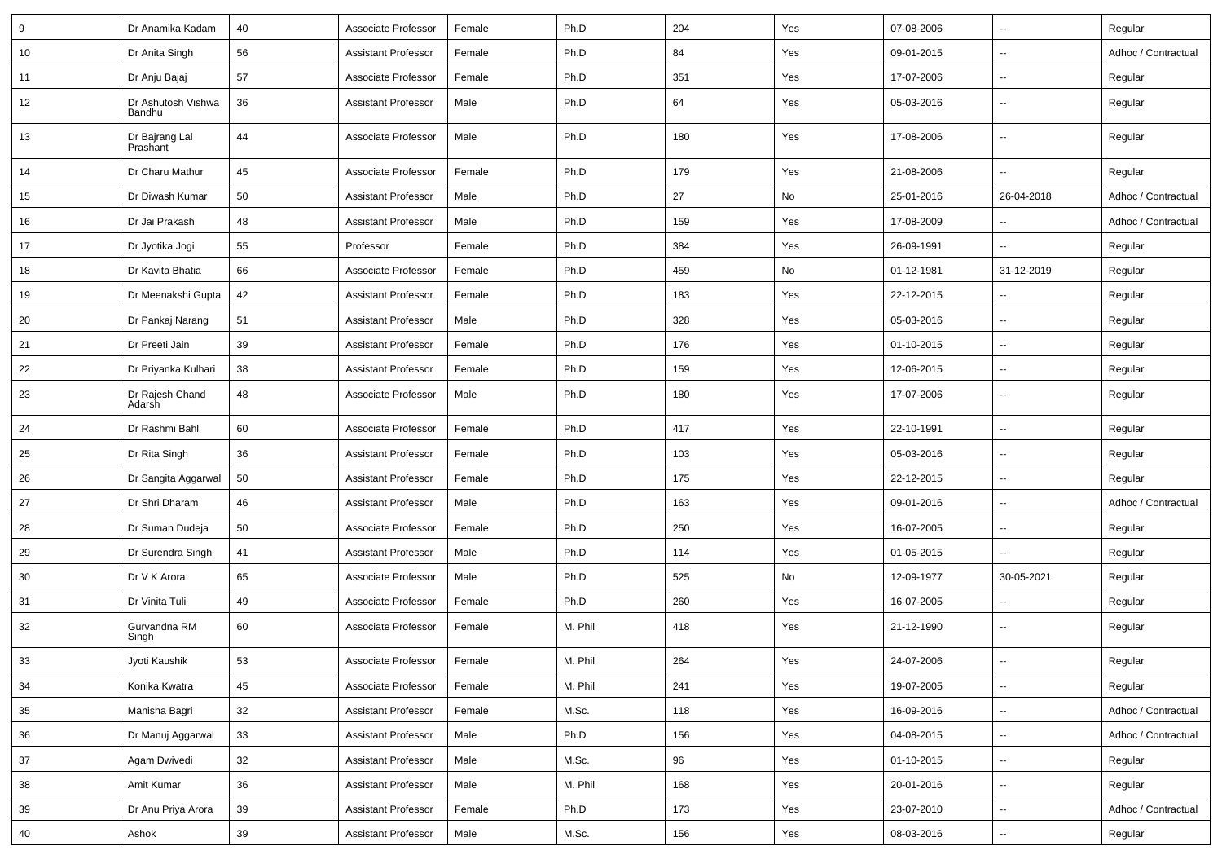| 9  | Dr Anamika Kadam             | 40 | Associate Professor        | Female | Ph.D    | 204 | Yes | 07-08-2006 | $\overline{\phantom{a}}$ | Regular             |
|----|------------------------------|----|----------------------------|--------|---------|-----|-----|------------|--------------------------|---------------------|
| 10 | Dr Anita Singh               | 56 | <b>Assistant Professor</b> | Female | Ph.D    | 84  | Yes | 09-01-2015 | $\overline{\phantom{a}}$ | Adhoc / Contractual |
| 11 | Dr Anju Bajaj                | 57 | Associate Professor        | Female | Ph.D    | 351 | Yes | 17-07-2006 | $\mathbf{u}$             | Regular             |
| 12 | Dr Ashutosh Vishwa<br>Bandhu | 36 | <b>Assistant Professor</b> | Male   | Ph.D    | 64  | Yes | 05-03-2016 | $\overline{\phantom{a}}$ | Regular             |
| 13 | Dr Bajrang Lal<br>Prashant   | 44 | Associate Professor        | Male   | Ph.D    | 180 | Yes | 17-08-2006 | $\overline{\phantom{a}}$ | Regular             |
| 14 | Dr Charu Mathur              | 45 | Associate Professor        | Female | Ph.D    | 179 | Yes | 21-08-2006 | $\overline{\phantom{a}}$ | Regular             |
| 15 | Dr Diwash Kumar              | 50 | <b>Assistant Professor</b> | Male   | Ph.D    | 27  | No  | 25-01-2016 | 26-04-2018               | Adhoc / Contractual |
| 16 | Dr Jai Prakash               | 48 | <b>Assistant Professor</b> | Male   | Ph.D    | 159 | Yes | 17-08-2009 | $\mathbf{u}$             | Adhoc / Contractual |
| 17 | Dr Jyotika Jogi              | 55 | Professor                  | Female | Ph.D    | 384 | Yes | 26-09-1991 | $\overline{\phantom{a}}$ | Regular             |
| 18 | Dr Kavita Bhatia             | 66 | Associate Professor        | Female | Ph.D    | 459 | No  | 01-12-1981 | 31-12-2019               | Regular             |
| 19 | Dr Meenakshi Gupta           | 42 | <b>Assistant Professor</b> | Female | Ph.D    | 183 | Yes | 22-12-2015 | ÷.                       | Regular             |
| 20 | Dr Pankaj Narang             | 51 | <b>Assistant Professor</b> | Male   | Ph.D    | 328 | Yes | 05-03-2016 | $\overline{\phantom{a}}$ | Regular             |
| 21 | Dr Preeti Jain               | 39 | <b>Assistant Professor</b> | Female | Ph.D    | 176 | Yes | 01-10-2015 | $\overline{\phantom{a}}$ | Regular             |
| 22 | Dr Priyanka Kulhari          | 38 | <b>Assistant Professor</b> | Female | Ph.D    | 159 | Yes | 12-06-2015 | ÷.                       | Regular             |
| 23 | Dr Rajesh Chand<br>Adarsh    | 48 | Associate Professor        | Male   | Ph.D    | 180 | Yes | 17-07-2006 | $\overline{\phantom{a}}$ | Regular             |
| 24 | Dr Rashmi Bahl               | 60 | Associate Professor        | Female | Ph.D    | 417 | Yes | 22-10-1991 | $\overline{\phantom{a}}$ | Regular             |
| 25 | Dr Rita Singh                | 36 | <b>Assistant Professor</b> | Female | Ph.D    | 103 | Yes | 05-03-2016 | $\overline{\phantom{a}}$ | Regular             |
| 26 | Dr Sangita Aggarwal          | 50 | <b>Assistant Professor</b> | Female | Ph.D    | 175 | Yes | 22-12-2015 | $\overline{\phantom{a}}$ | Regular             |
| 27 | Dr Shri Dharam               | 46 | <b>Assistant Professor</b> | Male   | Ph.D    | 163 | Yes | 09-01-2016 | $\overline{\phantom{a}}$ | Adhoc / Contractual |
| 28 | Dr Suman Dudeja              | 50 | Associate Professor        | Female | Ph.D    | 250 | Yes | 16-07-2005 | $\overline{\phantom{a}}$ | Regular             |
| 29 | Dr Surendra Singh            | 41 | <b>Assistant Professor</b> | Male   | Ph.D    | 114 | Yes | 01-05-2015 | $\overline{\phantom{a}}$ | Regular             |
| 30 | Dr V K Arora                 | 65 | Associate Professor        | Male   | Ph.D    | 525 | No  | 12-09-1977 | 30-05-2021               | Regular             |
| 31 | Dr Vinita Tuli               | 49 | Associate Professor        | Female | Ph.D    | 260 | Yes | 16-07-2005 | $\overline{\phantom{a}}$ | Regular             |
| 32 | Gurvandna RM<br>Singh        | 60 | Associate Professor        | Female | M. Phil | 418 | Yes | 21-12-1990 | $\overline{\phantom{a}}$ | Regular             |
| 33 | Jvoti Kaushik                | 53 | Associate Professor        | Female | M. Phil | 264 | Yes | 24-07-2006 | $\overline{\phantom{a}}$ | Regular             |
| 34 | Konika Kwatra                | 45 | Associate Professor        | Female | M. Phil | 241 | Yes | 19-07-2005 | $\overline{\phantom{a}}$ | Regular             |
| 35 | Manisha Bagri                | 32 | <b>Assistant Professor</b> | Female | M.Sc.   | 118 | Yes | 16-09-2016 | $\overline{\phantom{a}}$ | Adhoc / Contractual |
| 36 | Dr Manuj Aggarwal            | 33 | <b>Assistant Professor</b> | Male   | Ph.D    | 156 | Yes | 04-08-2015 | Ξ.                       | Adhoc / Contractual |
| 37 | Agam Dwivedi                 | 32 | <b>Assistant Professor</b> | Male   | M.Sc.   | 96  | Yes | 01-10-2015 | Щ,                       | Regular             |
| 38 | Amit Kumar                   | 36 | <b>Assistant Professor</b> | Male   | M. Phil | 168 | Yes | 20-01-2016 | н,                       | Regular             |
| 39 | Dr Anu Priya Arora           | 39 | <b>Assistant Professor</b> | Female | Ph.D    | 173 | Yes | 23-07-2010 | н,                       | Adhoc / Contractual |
| 40 | Ashok                        | 39 | <b>Assistant Professor</b> | Male   | M.Sc.   | 156 | Yes | 08-03-2016 | н,                       | Regular             |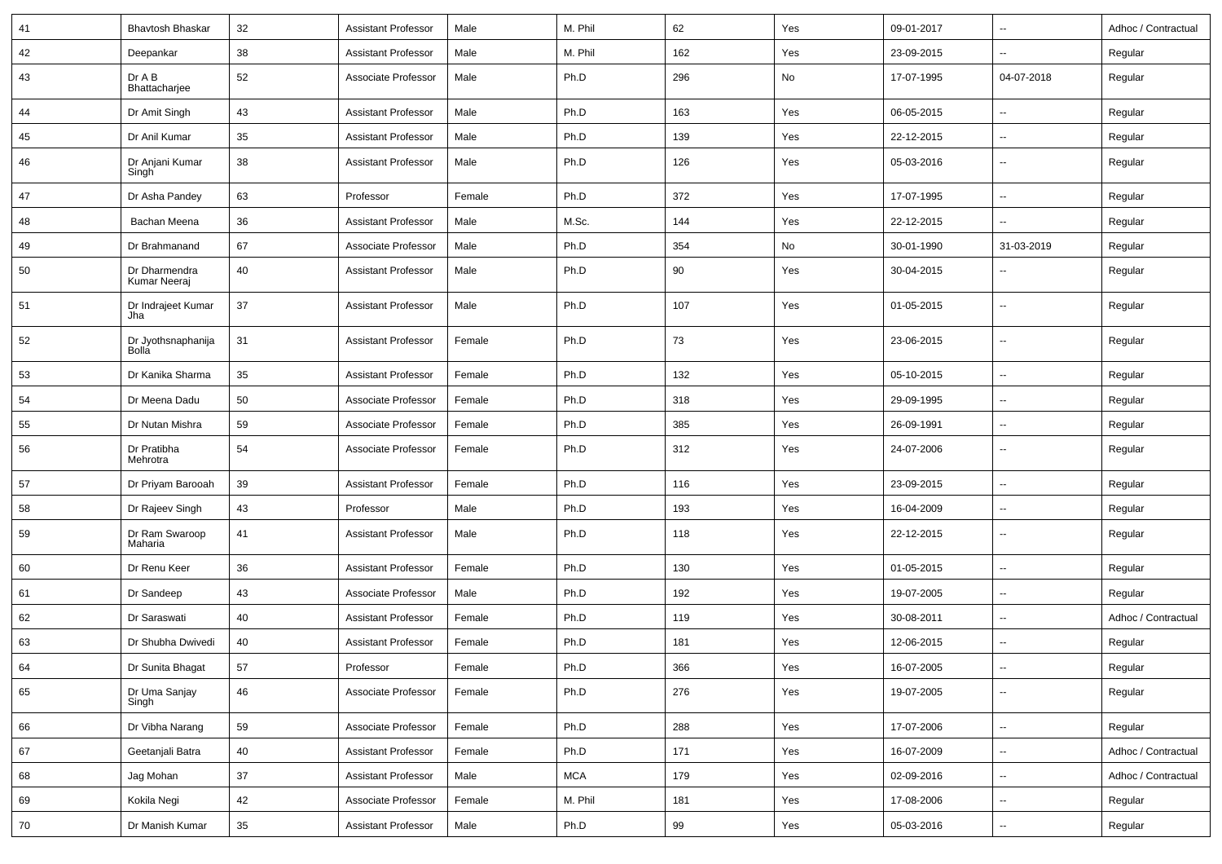| 41 | <b>Bhavtosh Bhaskar</b>       | 32     | <b>Assistant Professor</b> | Male   | M. Phil    | 62  | Yes | 09-01-2017 | $\overline{\phantom{a}}$ | Adhoc / Contractual |
|----|-------------------------------|--------|----------------------------|--------|------------|-----|-----|------------|--------------------------|---------------------|
| 42 | Deepankar                     | 38     | <b>Assistant Professor</b> | Male   | M. Phil    | 162 | Yes | 23-09-2015 | $\overline{\phantom{a}}$ | Regular             |
| 43 | Dr A B<br>Bhattacharjee       | 52     | Associate Professor        | Male   | Ph.D       | 296 | No  | 17-07-1995 | 04-07-2018               | Regular             |
| 44 | Dr Amit Singh                 | 43     | <b>Assistant Professor</b> | Male   | Ph.D       | 163 | Yes | 06-05-2015 | $\overline{\phantom{a}}$ | Regular             |
| 45 | Dr Anil Kumar                 | 35     | <b>Assistant Professor</b> | Male   | Ph.D       | 139 | Yes | 22-12-2015 | $\overline{\phantom{a}}$ | Regular             |
| 46 | Dr Anjani Kumar<br>Singh      | 38     | <b>Assistant Professor</b> | Male   | Ph.D       | 126 | Yes | 05-03-2016 | $\overline{\phantom{a}}$ | Regular             |
| 47 | Dr Asha Pandey                | 63     | Professor                  | Female | Ph.D       | 372 | Yes | 17-07-1995 | $\ddotsc$                | Regular             |
| 48 | Bachan Meena                  | 36     | <b>Assistant Professor</b> | Male   | M.Sc.      | 144 | Yes | 22-12-2015 | $\overline{\phantom{a}}$ | Regular             |
| 49 | Dr Brahmanand                 | 67     | Associate Professor        | Male   | Ph.D       | 354 | No  | 30-01-1990 | 31-03-2019               | Regular             |
| 50 | Dr Dharmendra<br>Kumar Neeraj | 40     | <b>Assistant Professor</b> | Male   | Ph.D       | 90  | Yes | 30-04-2015 | $\overline{\phantom{a}}$ | Regular             |
| 51 | Dr Indrajeet Kumar<br>Jha     | 37     | <b>Assistant Professor</b> | Male   | Ph.D       | 107 | Yes | 01-05-2015 | $\overline{\phantom{a}}$ | Regular             |
| 52 | Dr Jyothsnaphanija<br>Bolla   | 31     | <b>Assistant Professor</b> | Female | Ph.D       | 73  | Yes | 23-06-2015 | $\overline{\phantom{a}}$ | Regular             |
| 53 | Dr Kanika Sharma              | 35     | <b>Assistant Professor</b> | Female | Ph.D       | 132 | Yes | 05-10-2015 | $\overline{\phantom{a}}$ | Regular             |
| 54 | Dr Meena Dadu                 | 50     | Associate Professor        | Female | Ph.D       | 318 | Yes | 29-09-1995 | $\overline{\phantom{a}}$ | Regular             |
| 55 | Dr Nutan Mishra               | 59     | Associate Professor        | Female | Ph.D       | 385 | Yes | 26-09-1991 | $\overline{\phantom{a}}$ | Regular             |
| 56 | Dr Pratibha<br>Mehrotra       | 54     | Associate Professor        | Female | Ph.D       | 312 | Yes | 24-07-2006 | $\overline{\phantom{a}}$ | Regular             |
| 57 | Dr Priyam Barooah             | 39     | <b>Assistant Professor</b> | Female | Ph.D       | 116 | Yes | 23-09-2015 | $\overline{\phantom{a}}$ | Regular             |
| 58 | Dr Rajeev Singh               | 43     | Professor                  | Male   | Ph.D       | 193 | Yes | 16-04-2009 | $\overline{\phantom{a}}$ | Regular             |
| 59 | Dr Ram Swaroop<br>Maharia     | 41     | <b>Assistant Professor</b> | Male   | Ph.D       | 118 | Yes | 22-12-2015 | $\overline{\phantom{a}}$ | Regular             |
| 60 | Dr Renu Keer                  | 36     | <b>Assistant Professor</b> | Female | Ph.D       | 130 | Yes | 01-05-2015 | $\overline{\phantom{a}}$ | Regular             |
| 61 | Dr Sandeep                    | 43     | Associate Professor        | Male   | Ph.D       | 192 | Yes | 19-07-2005 | $\overline{\phantom{a}}$ | Regular             |
| 62 | Dr Saraswati                  | 40     | <b>Assistant Professor</b> | Female | Ph.D       | 119 | Yes | 30-08-2011 | $\overline{\phantom{a}}$ | Adhoc / Contractual |
| 63 | Dr Shubha Dwivedi             | 40     | <b>Assistant Professor</b> | Female | Ph.D       | 181 | Yes | 12-06-2015 | $\overline{\phantom{a}}$ | Regular             |
| 64 | Dr Sunita Bhagat              | $57\,$ | Professor                  | Female | Ph.D       | 366 | Yes | 16-07-2005 |                          | Regular             |
| 65 | Dr Uma Sanjay<br>Singh        | 46     | Associate Professor        | Female | Ph.D       | 276 | Yes | 19-07-2005 | $\overline{\phantom{a}}$ | Regular             |
| 66 | Dr Vibha Narang               | 59     | Associate Professor        | Female | Ph.D       | 288 | Yes | 17-07-2006 | $\overline{\phantom{a}}$ | Regular             |
| 67 | Geetanjali Batra              | 40     | <b>Assistant Professor</b> | Female | Ph.D       | 171 | Yes | 16-07-2009 | $\overline{\phantom{a}}$ | Adhoc / Contractual |
| 68 | Jag Mohan                     | 37     | <b>Assistant Professor</b> | Male   | <b>MCA</b> | 179 | Yes | 02-09-2016 | Ξ.                       | Adhoc / Contractual |
| 69 | Kokila Negi                   | 42     | Associate Professor        | Female | M. Phil    | 181 | Yes | 17-08-2006 | $\overline{\phantom{a}}$ | Regular             |
| 70 | Dr Manish Kumar               | 35     | <b>Assistant Professor</b> | Male   | Ph.D       | 99  | Yes | 05-03-2016 | ۰.                       | Regular             |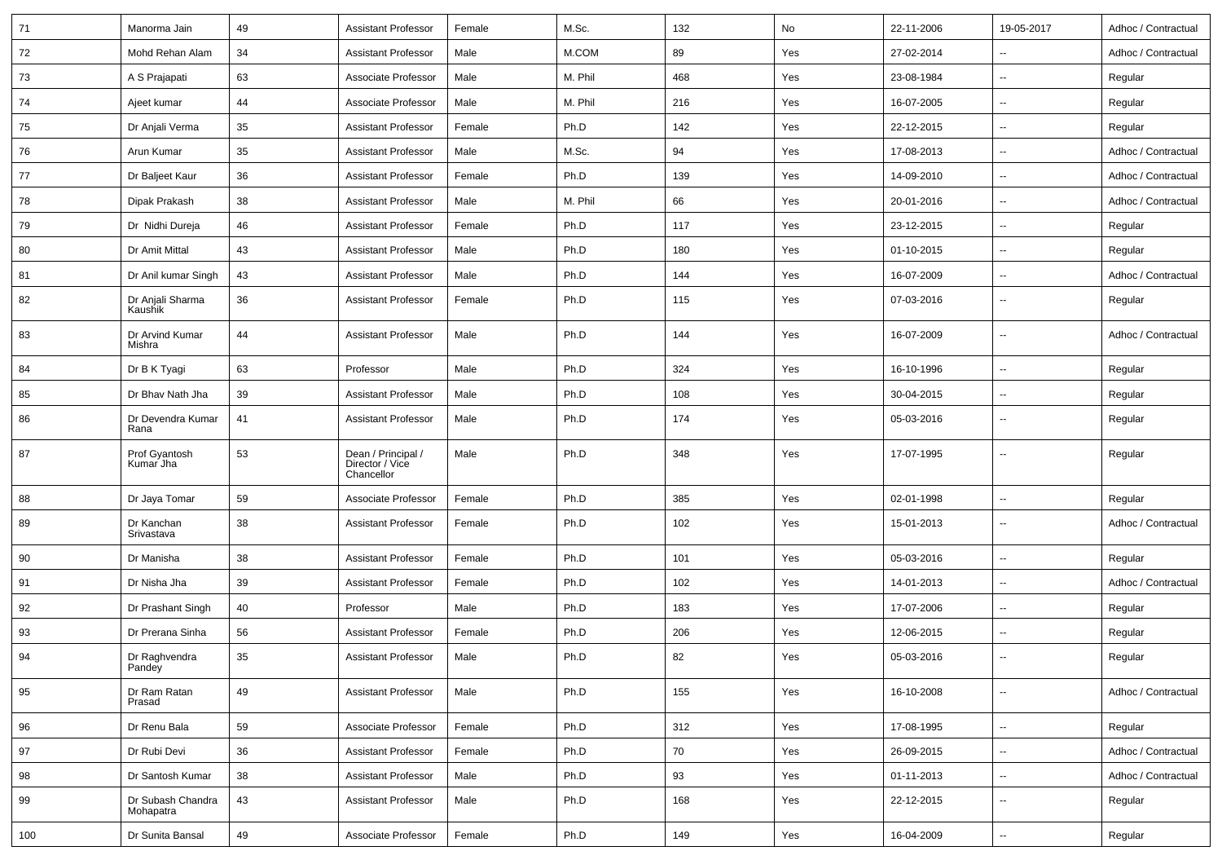| 71  | Manorma Jain                   | 49 | <b>Assistant Professor</b>                          | Female | M.Sc.   | 132 | No  | 22-11-2006 | 19-05-2017               | Adhoc / Contractual |
|-----|--------------------------------|----|-----------------------------------------------------|--------|---------|-----|-----|------------|--------------------------|---------------------|
| 72  | Mohd Rehan Alam                | 34 | <b>Assistant Professor</b>                          | Male   | M.COM   | 89  | Yes | 27-02-2014 | $\overline{\phantom{a}}$ | Adhoc / Contractual |
| 73  | A S Prajapati                  | 63 | Associate Professor                                 | Male   | M. Phil | 468 | Yes | 23-08-1984 | $\overline{\phantom{a}}$ | Regular             |
| 74  | Ajeet kumar                    | 44 | Associate Professor                                 | Male   | M. Phil | 216 | Yes | 16-07-2005 | $\sim$                   | Regular             |
| 75  | Dr Anjali Verma                | 35 | <b>Assistant Professor</b>                          | Female | Ph.D    | 142 | Yes | 22-12-2015 | $\overline{\phantom{a}}$ | Regular             |
| 76  | Arun Kumar                     | 35 | <b>Assistant Professor</b>                          | Male   | M.Sc.   | 94  | Yes | 17-08-2013 |                          | Adhoc / Contractual |
| 77  | Dr Baljeet Kaur                | 36 | <b>Assistant Professor</b>                          | Female | Ph.D    | 139 | Yes | 14-09-2010 | $\sim$                   | Adhoc / Contractual |
| 78  | Dipak Prakash                  | 38 | <b>Assistant Professor</b>                          | Male   | M. Phil | 66  | Yes | 20-01-2016 | $\sim$                   | Adhoc / Contractual |
| 79  | Dr Nidhi Dureja                | 46 | <b>Assistant Professor</b>                          | Female | Ph.D    | 117 | Yes | 23-12-2015 | $\overline{\phantom{a}}$ | Regular             |
| 80  | Dr Amit Mittal                 | 43 | <b>Assistant Professor</b>                          | Male   | Ph.D    | 180 | Yes | 01-10-2015 | $\overline{\phantom{a}}$ | Regular             |
| 81  | Dr Anil kumar Singh            | 43 | <b>Assistant Professor</b>                          | Male   | Ph.D    | 144 | Yes | 16-07-2009 | $\overline{\phantom{a}}$ | Adhoc / Contractual |
| 82  | Dr Anjali Sharma<br>Kaushik    | 36 | <b>Assistant Professor</b>                          | Female | Ph.D    | 115 | Yes | 07-03-2016 | $\overline{\phantom{a}}$ | Regular             |
| 83  | Dr Arvind Kumar<br>Mishra      | 44 | <b>Assistant Professor</b>                          | Male   | Ph.D    | 144 | Yes | 16-07-2009 | $\overline{\phantom{a}}$ | Adhoc / Contractual |
| 84  | Dr B K Tyagi                   | 63 | Professor                                           | Male   | Ph.D    | 324 | Yes | 16-10-1996 | $\overline{\phantom{a}}$ | Regular             |
| 85  | Dr Bhav Nath Jha               | 39 | <b>Assistant Professor</b>                          | Male   | Ph.D    | 108 | Yes | 30-04-2015 | $\sim$                   | Regular             |
| 86  | Dr Devendra Kumar<br>Rana      | 41 | <b>Assistant Professor</b>                          | Male   | Ph.D    | 174 | Yes | 05-03-2016 | $\overline{\phantom{a}}$ | Regular             |
| 87  | Prof Gyantosh<br>Kumar Jha     | 53 | Dean / Principal /<br>Director / Vice<br>Chancellor | Male   | Ph.D    | 348 | Yes | 17-07-1995 | $\sim$                   | Regular             |
| 88  | Dr Jaya Tomar                  | 59 | Associate Professor                                 | Female | Ph.D    | 385 | Yes | 02-01-1998 | $\sim$                   | Regular             |
| 89  | Dr Kanchan<br>Srivastava       | 38 | <b>Assistant Professor</b>                          | Female | Ph.D    | 102 | Yes | 15-01-2013 | $\sim$                   | Adhoc / Contractual |
| 90  | Dr Manisha                     | 38 | <b>Assistant Professor</b>                          | Female | Ph.D    | 101 | Yes | 05-03-2016 | $\sim$                   | Regular             |
| 91  | Dr Nisha Jha                   | 39 | <b>Assistant Professor</b>                          | Female | Ph.D    | 102 | Yes | 14-01-2013 | $\overline{\phantom{a}}$ | Adhoc / Contractual |
| 92  | Dr Prashant Singh              | 40 | Professor                                           | Male   | Ph.D    | 183 | Yes | 17-07-2006 | $\overline{\phantom{a}}$ | Regular             |
| 93  | Dr Prerana Sinha               | 56 | <b>Assistant Professor</b>                          | Female | Ph.D    | 206 | Yes | 12-06-2015 | $\overline{\phantom{a}}$ | Regular             |
| 94  | Dr Raghvendra<br>Pandey        | 35 | <b>Assistant Professor</b>                          | Male   | Ph.D    | 82  | Yes | 05-03-2016 |                          | Regular             |
| 95  | Dr Ram Ratan<br>Prasad         | 49 | <b>Assistant Professor</b>                          | Male   | Ph.D    | 155 | Yes | 16-10-2008 | $\sim$                   | Adhoc / Contractual |
| 96  | Dr Renu Bala                   | 59 | Associate Professor                                 | Female | Ph.D    | 312 | Yes | 17-08-1995 | $\sim$                   | Regular             |
| 97  | Dr Rubi Devi                   | 36 | <b>Assistant Professor</b>                          | Female | Ph.D    | 70  | Yes | 26-09-2015 | $\sim$                   | Adhoc / Contractual |
| 98  | Dr Santosh Kumar               | 38 | <b>Assistant Professor</b>                          | Male   | Ph.D    | 93  | Yes | 01-11-2013 | $\sim$                   | Adhoc / Contractual |
| 99  | Dr Subash Chandra<br>Mohapatra | 43 | Assistant Professor                                 | Male   | Ph.D    | 168 | Yes | 22-12-2015 | $\sim$                   | Regular             |
| 100 | Dr Sunita Bansal               | 49 | Associate Professor                                 | Female | Ph.D    | 149 | Yes | 16-04-2009 | $\sim$                   | Regular             |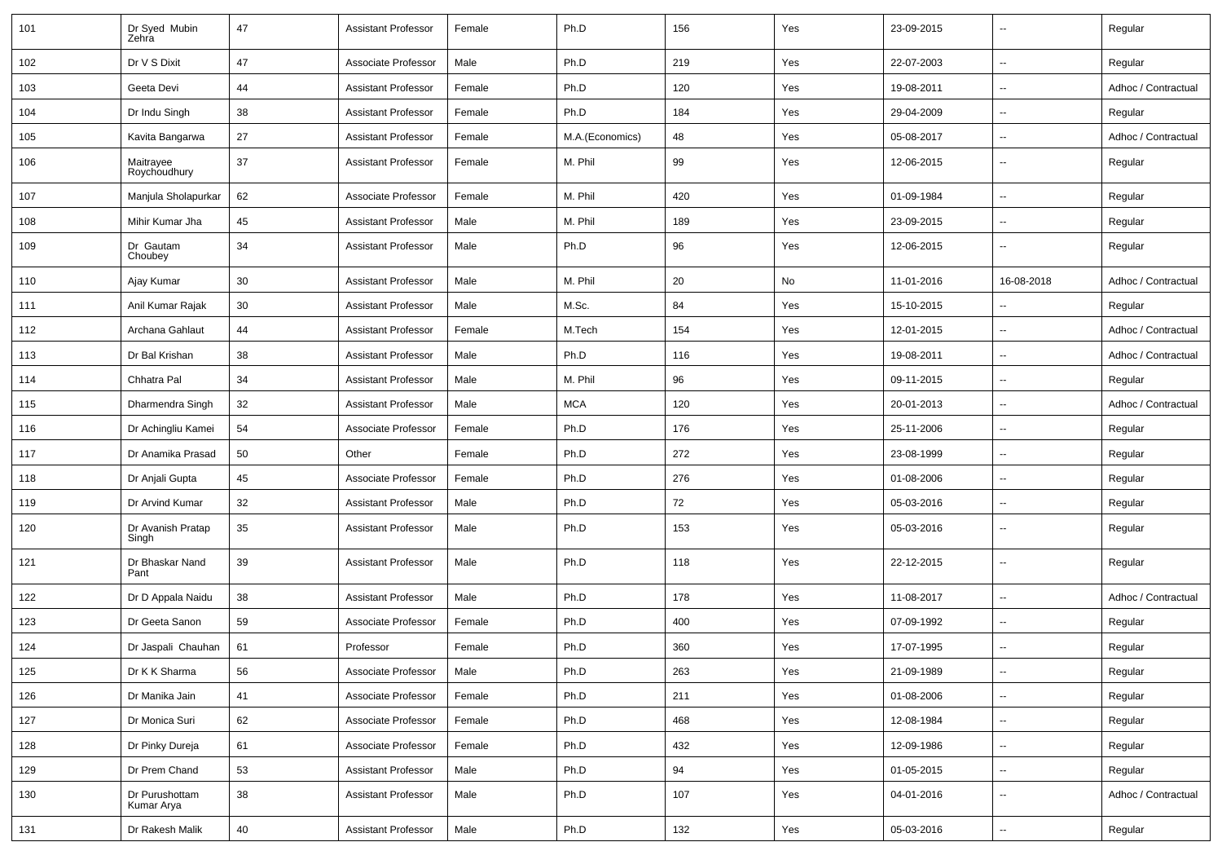| 101 | Dr Syed Mubin<br>Zehra       | 47 | <b>Assistant Professor</b> | Female | Ph.D            | 156 | Yes | 23-09-2015 | $\overline{\phantom{a}}$ | Regular             |
|-----|------------------------------|----|----------------------------|--------|-----------------|-----|-----|------------|--------------------------|---------------------|
| 102 | Dr V S Dixit                 | 47 | Associate Professor        | Male   | Ph.D            | 219 | Yes | 22-07-2003 | $\overline{\phantom{a}}$ | Regular             |
| 103 | Geeta Devi                   | 44 | <b>Assistant Professor</b> | Female | Ph.D            | 120 | Yes | 19-08-2011 | $\overline{\phantom{a}}$ | Adhoc / Contractual |
| 104 | Dr Indu Singh                | 38 | <b>Assistant Professor</b> | Female | Ph.D            | 184 | Yes | 29-04-2009 | $\overline{\phantom{a}}$ | Regular             |
| 105 | Kavita Bangarwa              | 27 | <b>Assistant Professor</b> | Female | M.A.(Economics) | 48  | Yes | 05-08-2017 | $\overline{\phantom{a}}$ | Adhoc / Contractual |
| 106 | Maitrayee<br>Roychoudhury    | 37 | <b>Assistant Professor</b> | Female | M. Phil         | 99  | Yes | 12-06-2015 | $\overline{\phantom{a}}$ | Regular             |
| 107 | Manjula Sholapurkar          | 62 | Associate Professor        | Female | M. Phil         | 420 | Yes | 01-09-1984 | $\ddotsc$                | Regular             |
| 108 | Mihir Kumar Jha              | 45 | <b>Assistant Professor</b> | Male   | M. Phil         | 189 | Yes | 23-09-2015 | $\overline{\phantom{a}}$ | Regular             |
| 109 | Dr Gautam<br>Choubey         | 34 | <b>Assistant Professor</b> | Male   | Ph.D            | 96  | Yes | 12-06-2015 | $\overline{\phantom{a}}$ | Regular             |
| 110 | Ajay Kumar                   | 30 | <b>Assistant Professor</b> | Male   | M. Phil         | 20  | No  | 11-01-2016 | 16-08-2018               | Adhoc / Contractual |
| 111 | Anil Kumar Rajak             | 30 | <b>Assistant Professor</b> | Male   | M.Sc.           | 84  | Yes | 15-10-2015 | $\overline{\phantom{a}}$ | Regular             |
| 112 | Archana Gahlaut              | 44 | <b>Assistant Professor</b> | Female | M.Tech          | 154 | Yes | 12-01-2015 | $\overline{\phantom{a}}$ | Adhoc / Contractual |
| 113 | Dr Bal Krishan               | 38 | <b>Assistant Professor</b> | Male   | Ph.D            | 116 | Yes | 19-08-2011 | $\overline{\phantom{a}}$ | Adhoc / Contractual |
| 114 | Chhatra Pal                  | 34 | <b>Assistant Professor</b> | Male   | M. Phil         | 96  | Yes | 09-11-2015 | $\overline{\phantom{a}}$ | Regular             |
| 115 | Dharmendra Singh             | 32 | <b>Assistant Professor</b> | Male   | <b>MCA</b>      | 120 | Yes | 20-01-2013 | $\overline{\phantom{a}}$ | Adhoc / Contractual |
| 116 | Dr Achingliu Kamei           | 54 | Associate Professor        | Female | Ph.D            | 176 | Yes | 25-11-2006 | $\overline{\phantom{a}}$ | Regular             |
| 117 | Dr Anamika Prasad            | 50 | Other                      | Female | Ph.D            | 272 | Yes | 23-08-1999 | $\overline{\phantom{a}}$ | Regular             |
| 118 | Dr Anjali Gupta              | 45 | Associate Professor        | Female | Ph.D            | 276 | Yes | 01-08-2006 | $\overline{\phantom{a}}$ | Regular             |
| 119 | Dr Arvind Kumar              | 32 | <b>Assistant Professor</b> | Male   | Ph.D            | 72  | Yes | 05-03-2016 | $\overline{\phantom{a}}$ | Regular             |
| 120 | Dr Avanish Pratap<br>Singh   | 35 | <b>Assistant Professor</b> | Male   | Ph.D            | 153 | Yes | 05-03-2016 | $\overline{\phantom{a}}$ | Regular             |
| 121 | Dr Bhaskar Nand<br>Pant      | 39 | <b>Assistant Professor</b> | Male   | Ph.D            | 118 | Yes | 22-12-2015 | $\overline{\phantom{a}}$ | Regular             |
| 122 | Dr D Appala Naidu            | 38 | <b>Assistant Professor</b> | Male   | Ph.D            | 178 | Yes | 11-08-2017 | $\ddotsc$                | Adhoc / Contractual |
| 123 | Dr Geeta Sanon               | 59 | Associate Professor        | Female | Ph.D            | 400 | Yes | 07-09-1992 | $\sim$                   | Regular             |
| 124 | Dr Jaspali Chauhan           | 61 | Professor                  | Female | Ph.D            | 360 | Yes | 17-07-1995 | ۰.                       | Regular             |
| 125 | Dr K K Sharma                | 56 | Associate Professor        | Male   | Ph.D            | 263 | Yes | 21-09-1989 | $\overline{\phantom{a}}$ | Regular             |
| 126 | Dr Manika Jain               | 41 | Associate Professor        | Female | Ph.D            | 211 | Yes | 01-08-2006 | $\overline{\phantom{a}}$ | Regular             |
| 127 | Dr Monica Suri               | 62 | Associate Professor        | Female | Ph.D            | 468 | Yes | 12-08-1984 | ۰.                       | Regular             |
| 128 | Dr Pinky Dureja              | 61 | Associate Professor        | Female | Ph.D            | 432 | Yes | 12-09-1986 | $\overline{\phantom{a}}$ | Regular             |
| 129 | Dr Prem Chand                | 53 | Assistant Professor        | Male   | Ph.D            | 94  | Yes | 01-05-2015 | $\overline{\phantom{a}}$ | Regular             |
| 130 | Dr Purushottam<br>Kumar Arya | 38 | <b>Assistant Professor</b> | Male   | Ph.D            | 107 | Yes | 04-01-2016 | ۰.                       | Adhoc / Contractual |
| 131 | Dr Rakesh Malik              | 40 | <b>Assistant Professor</b> | Male   | Ph.D            | 132 | Yes | 05-03-2016 | $\overline{\phantom{a}}$ | Regular             |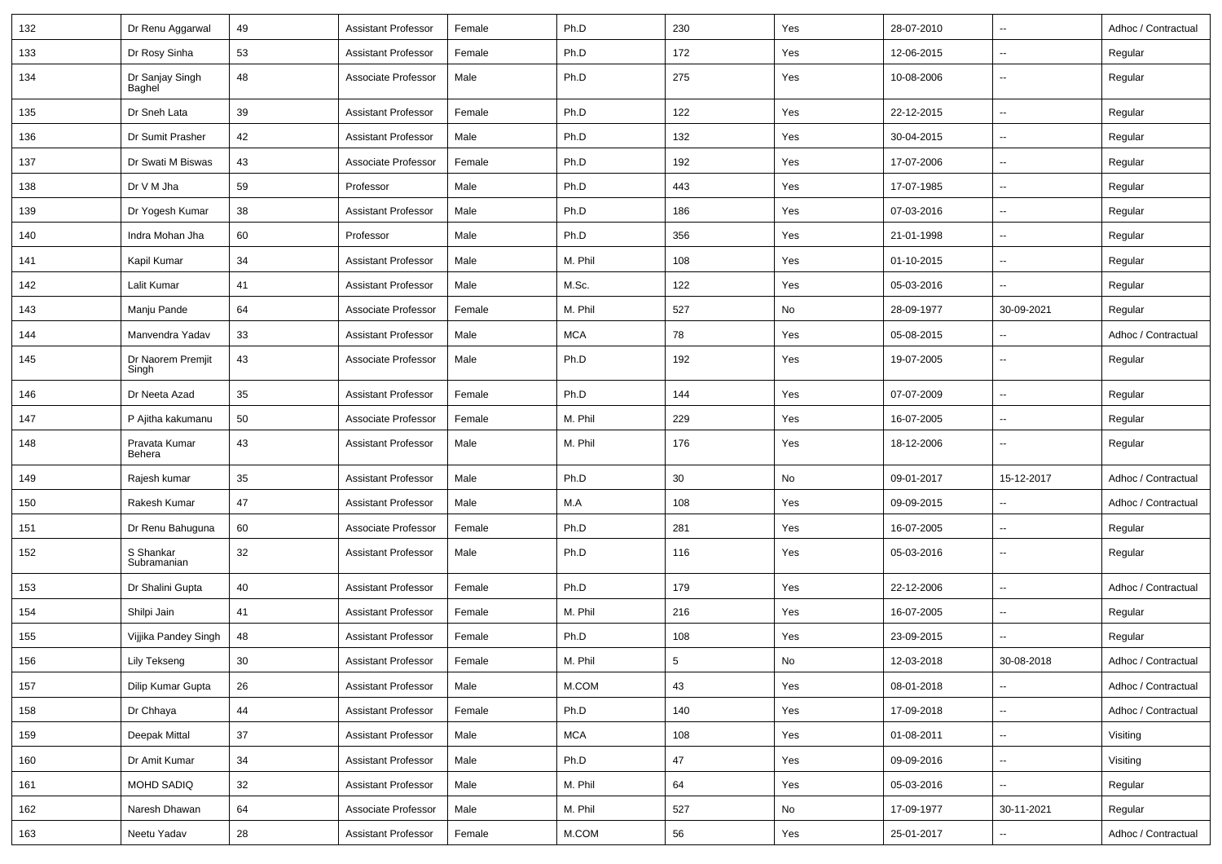| 132 | Dr Renu Aggarwal           | 49 | <b>Assistant Professor</b> | Female | Ph.D       | 230        | Yes | 28-07-2010 | $\overline{\phantom{a}}$ | Adhoc / Contractual |
|-----|----------------------------|----|----------------------------|--------|------------|------------|-----|------------|--------------------------|---------------------|
| 133 | Dr Rosy Sinha              | 53 | <b>Assistant Professor</b> | Female | Ph.D       | 172        | Yes | 12-06-2015 | $\overline{\phantom{a}}$ | Regular             |
| 134 | Dr Sanjay Singh<br>Baghel  | 48 | Associate Professor        | Male   | Ph.D       | 275        | Yes | 10-08-2006 | $\overline{\phantom{a}}$ | Regular             |
| 135 | Dr Sneh Lata               | 39 | <b>Assistant Professor</b> | Female | Ph.D       | 122        | Yes | 22-12-2015 | $\overline{\phantom{a}}$ | Regular             |
| 136 | Dr Sumit Prasher           | 42 | <b>Assistant Professor</b> | Male   | Ph.D       | 132        | Yes | 30-04-2015 | --                       | Regular             |
| 137 | Dr Swati M Biswas          | 43 | Associate Professor        | Female | Ph.D       | 192        | Yes | 17-07-2006 | $\overline{\phantom{a}}$ | Regular             |
| 138 | Dr V M Jha                 | 59 | Professor                  | Male   | Ph.D       | 443        | Yes | 17-07-1985 | Ξ.                       | Regular             |
| 139 | Dr Yogesh Kumar            | 38 | <b>Assistant Professor</b> | Male   | Ph.D       | 186        | Yes | 07-03-2016 | $\overline{\phantom{a}}$ | Regular             |
| 140 | Indra Mohan Jha            | 60 | Professor                  | Male   | Ph.D       | 356        | Yes | 21-01-1998 | $\overline{\phantom{a}}$ | Regular             |
| 141 | Kapil Kumar                | 34 | <b>Assistant Professor</b> | Male   | M. Phil    | 108        | Yes | 01-10-2015 | $\overline{\phantom{a}}$ | Regular             |
| 142 | Lalit Kumar                | 41 | <b>Assistant Professor</b> | Male   | M.Sc.      | 122        | Yes | 05-03-2016 | --                       | Regular             |
| 143 | Manju Pande                | 64 | Associate Professor        | Female | M. Phil    | 527        | No  | 28-09-1977 | 30-09-2021               | Regular             |
| 144 | Manvendra Yadav            | 33 | <b>Assistant Professor</b> | Male   | <b>MCA</b> | 78         | Yes | 05-08-2015 | $\overline{\phantom{a}}$ | Adhoc / Contractual |
| 145 | Dr Naorem Premjit<br>Singh | 43 | Associate Professor        | Male   | Ph.D       | 192        | Yes | 19-07-2005 | $\overline{\phantom{a}}$ | Regular             |
| 146 | Dr Neeta Azad              | 35 | <b>Assistant Professor</b> | Female | Ph.D       | 144        | Yes | 07-07-2009 | $\overline{\phantom{a}}$ | Regular             |
| 147 | P Ajitha kakumanu          | 50 | Associate Professor        | Female | M. Phil    | 229        | Yes | 16-07-2005 | $\overline{\phantom{a}}$ | Regular             |
| 148 | Pravata Kumar<br>Behera    | 43 | <b>Assistant Professor</b> | Male   | M. Phil    | 176        | Yes | 18-12-2006 | $\overline{\phantom{a}}$ | Regular             |
| 149 | Rajesh kumar               | 35 | <b>Assistant Professor</b> | Male   | Ph.D       | 30         | No  | 09-01-2017 | 15-12-2017               | Adhoc / Contractual |
| 150 | Rakesh Kumar               | 47 | <b>Assistant Professor</b> | Male   | M.A        | 108        | Yes | 09-09-2015 | --                       | Adhoc / Contractual |
| 151 | Dr Renu Bahuguna           | 60 | Associate Professor        | Female | Ph.D       | 281        | Yes | 16-07-2005 | $\overline{\phantom{a}}$ | Regular             |
| 152 | S Shankar<br>Subramanian   | 32 | <b>Assistant Professor</b> | Male   | Ph.D       | 116        | Yes | 05-03-2016 | Ξ.                       | Regular             |
| 153 | Dr Shalini Gupta           | 40 | <b>Assistant Professor</b> | Female | Ph.D       | 179        | Yes | 22-12-2006 | Ξ.                       | Adhoc / Contractual |
| 154 | Shilpi Jain                | 41 | <b>Assistant Professor</b> | Female | M. Phil    | 216        | Yes | 16-07-2005 | --                       | Regular             |
| 155 | Vijjika Pandey Singh       | 48 | <b>Assistant Professor</b> | Female | Ph.D       | 108        | Yes | 23-09-2015 | $\overline{\phantom{a}}$ | Regular             |
| 156 | <b>Lily Tekseng</b>        | 30 | <b>Assistant Professor</b> | Female | M. Phil    | $\sqrt{5}$ | No  | 12-03-2018 | 30-08-2018               | Adhoc / Contractual |
| 157 | Dilip Kumar Gupta          | 26 | Assistant Professor        | Male   | M.COM      | 43         | Yes | 08-01-2018 | --                       | Adhoc / Contractual |
| 158 | Dr Chhaya                  | 44 | <b>Assistant Professor</b> | Female | Ph.D       | 140        | Yes | 17-09-2018 | Щ,                       | Adhoc / Contractual |
| 159 | Deepak Mittal              | 37 | <b>Assistant Professor</b> | Male   | <b>MCA</b> | 108        | Yes | 01-08-2011 | Щ,                       | Visiting            |
| 160 | Dr Amit Kumar              | 34 | <b>Assistant Professor</b> | Male   | Ph.D       | 47         | Yes | 09-09-2016 | --                       | Visiting            |
| 161 | MOHD SADIQ                 | 32 | <b>Assistant Professor</b> | Male   | M. Phil    | 64         | Yes | 05-03-2016 | $\overline{\phantom{a}}$ | Regular             |
| 162 | Naresh Dhawan              | 64 | Associate Professor        | Male   | M. Phil    | 527        | No  | 17-09-1977 | 30-11-2021               | Regular             |
| 163 | Neetu Yadav                | 28 | <b>Assistant Professor</b> | Female | M.COM      | 56         | Yes | 25-01-2017 | ۰.                       | Adhoc / Contractual |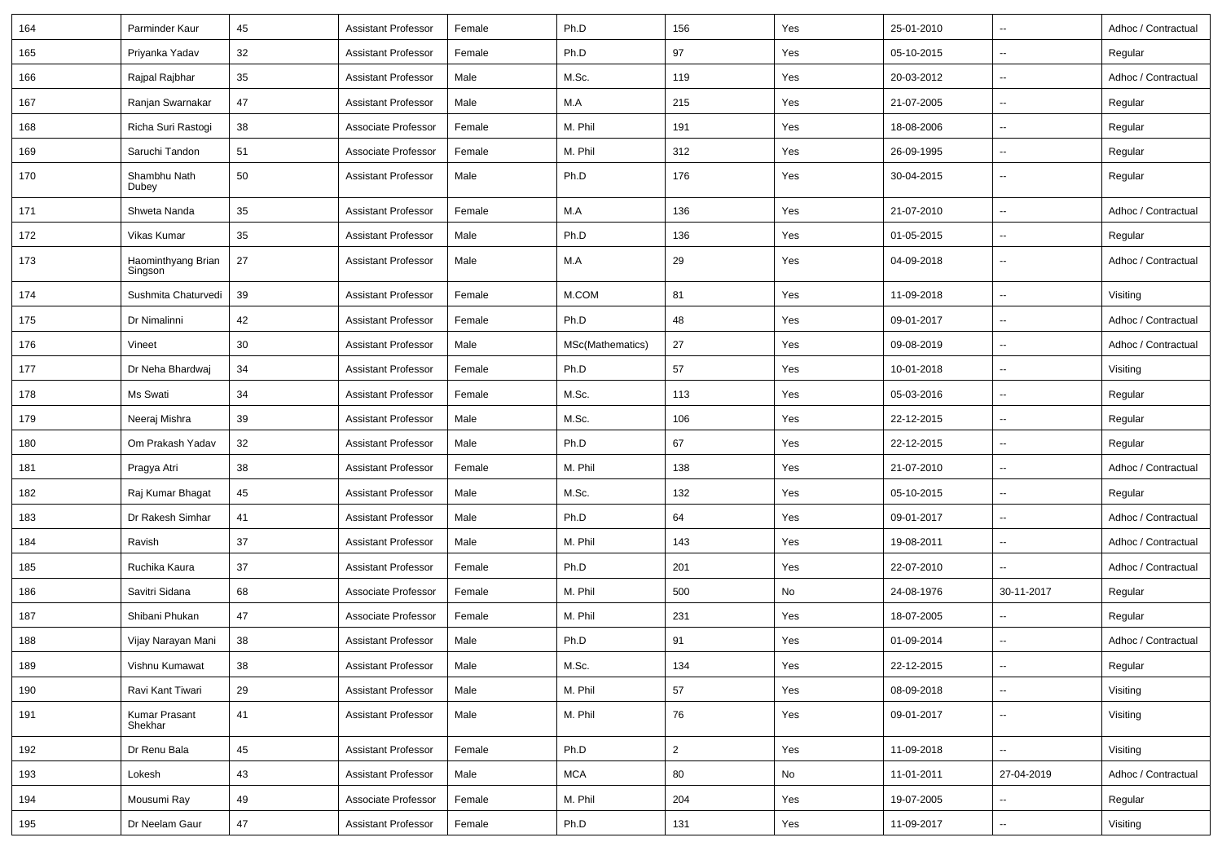| 164 | Parminder Kaur                | 45 | <b>Assistant Professor</b> | Female | Ph.D             | 156 | Yes | 25-01-2010 | $\overline{\phantom{a}}$ | Adhoc / Contractual |
|-----|-------------------------------|----|----------------------------|--------|------------------|-----|-----|------------|--------------------------|---------------------|
| 165 | Priyanka Yadav                | 32 | <b>Assistant Professor</b> | Female | Ph.D             | 97  | Yes | 05-10-2015 | $\sim$                   | Regular             |
| 166 | Rajpal Rajbhar                | 35 | <b>Assistant Professor</b> | Male   | M.Sc.            | 119 | Yes | 20-03-2012 | $\overline{\phantom{a}}$ | Adhoc / Contractual |
| 167 | Ranjan Swarnakar              | 47 | <b>Assistant Professor</b> | Male   | M.A              | 215 | Yes | 21-07-2005 | $\overline{\phantom{a}}$ | Regular             |
| 168 | Richa Suri Rastogi            | 38 | Associate Professor        | Female | M. Phil          | 191 | Yes | 18-08-2006 | $\sim$                   | Regular             |
| 169 | Saruchi Tandon                | 51 | Associate Professor        | Female | M. Phil          | 312 | Yes | 26-09-1995 | $\overline{\phantom{a}}$ | Regular             |
| 170 | Shambhu Nath<br>Dubey         | 50 | <b>Assistant Professor</b> | Male   | Ph.D             | 176 | Yes | 30-04-2015 | $\overline{\phantom{a}}$ | Regular             |
| 171 | Shweta Nanda                  | 35 | <b>Assistant Professor</b> | Female | M.A              | 136 | Yes | 21-07-2010 | $\overline{\phantom{a}}$ | Adhoc / Contractual |
| 172 | Vikas Kumar                   | 35 | <b>Assistant Professor</b> | Male   | Ph.D             | 136 | Yes | 01-05-2015 | $\overline{\phantom{a}}$ | Regular             |
| 173 | Haominthyang Brian<br>Singson | 27 | <b>Assistant Professor</b> | Male   | M.A              | 29  | Yes | 04-09-2018 | $\overline{\phantom{a}}$ | Adhoc / Contractual |
| 174 | Sushmita Chaturvedi           | 39 | <b>Assistant Professor</b> | Female | M.COM            | 81  | Yes | 11-09-2018 | $\overline{\phantom{a}}$ | Visiting            |
| 175 | Dr Nimalinni                  | 42 | <b>Assistant Professor</b> | Female | Ph.D             | 48  | Yes | 09-01-2017 | $\overline{\phantom{a}}$ | Adhoc / Contractual |
| 176 | Vineet                        | 30 | <b>Assistant Professor</b> | Male   | MSc(Mathematics) | 27  | Yes | 09-08-2019 | $\overline{\phantom{a}}$ | Adhoc / Contractual |
| 177 | Dr Neha Bhardwaj              | 34 | <b>Assistant Professor</b> | Female | Ph.D             | 57  | Yes | 10-01-2018 | $\overline{\phantom{a}}$ | Visiting            |
| 178 | Ms Swati                      | 34 | <b>Assistant Professor</b> | Female | M.Sc.            | 113 | Yes | 05-03-2016 | $\overline{\phantom{a}}$ | Regular             |
| 179 | Neeraj Mishra                 | 39 | <b>Assistant Professor</b> | Male   | M.Sc.            | 106 | Yes | 22-12-2015 | $\sim$                   | Regular             |
| 180 | Om Prakash Yadav              | 32 | <b>Assistant Professor</b> | Male   | Ph.D             | 67  | Yes | 22-12-2015 | $\sim$                   | Regular             |
| 181 | Pragya Atri                   | 38 | <b>Assistant Professor</b> | Female | M. Phil          | 138 | Yes | 21-07-2010 | $\mathbf{u}$             | Adhoc / Contractual |
| 182 | Raj Kumar Bhagat              | 45 | <b>Assistant Professor</b> | Male   | M.Sc.            | 132 | Yes | 05-10-2015 | $\sim$                   | Regular             |
| 183 | Dr Rakesh Simhar              | 41 | <b>Assistant Professor</b> | Male   | Ph.D             | 64  | Yes | 09-01-2017 | $\overline{\phantom{a}}$ | Adhoc / Contractual |
| 184 | Ravish                        | 37 | <b>Assistant Professor</b> | Male   | M. Phil          | 143 | Yes | 19-08-2011 | $\overline{\phantom{a}}$ | Adhoc / Contractual |
| 185 | Ruchika Kaura                 | 37 | <b>Assistant Professor</b> | Female | Ph.D             | 201 | Yes | 22-07-2010 | $\overline{\phantom{a}}$ | Adhoc / Contractual |
| 186 | Savitri Sidana                | 68 | Associate Professor        | Female | M. Phil          | 500 | No  | 24-08-1976 | 30-11-2017               | Regular             |
| 187 | Shibani Phukan                | 47 | Associate Professor        | Female | M. Phil          | 231 | Yes | 18-07-2005 | $\overline{\phantom{a}}$ | Regular             |
| 188 | Vijay Narayan Mani            | 38 | <b>Assistant Professor</b> | Male   | Ph.D             | 91  | Yes | 01-09-2014 | $\overline{\phantom{a}}$ | Adhoc / Contractual |
| 189 | Vishnu Kumawat                | 38 | Assistant Professor        | Male   | M.Sc.            | 134 | Yes | 22-12-2015 |                          | Regular             |
| 190 | Ravi Kant Tiwari              | 29 | <b>Assistant Professor</b> | Male   | M. Phil          | 57  | Yes | 08-09-2018 | $\overline{\phantom{a}}$ | Visiting            |
| 191 | Kumar Prasant<br>Shekhar      | 41 | <b>Assistant Professor</b> | Male   | M. Phil          | 76  | Yes | 09-01-2017 | $\overline{\phantom{a}}$ | Visiting            |
| 192 | Dr Renu Bala                  | 45 | <b>Assistant Professor</b> | Female | Ph.D             | 2   | Yes | 11-09-2018 | $\sim$                   | Visiting            |
| 193 | Lokesh                        | 43 | Assistant Professor        | Male   | <b>MCA</b>       | 80  | No  | 11-01-2011 | 27-04-2019               | Adhoc / Contractual |
| 194 | Mousumi Ray                   | 49 | Associate Professor        | Female | M. Phil          | 204 | Yes | 19-07-2005 | $\overline{\phantom{a}}$ | Regular             |
| 195 | Dr Neelam Gaur                | 47 | <b>Assistant Professor</b> | Female | Ph.D             | 131 | Yes | 11-09-2017 | $\overline{\phantom{a}}$ | Visiting            |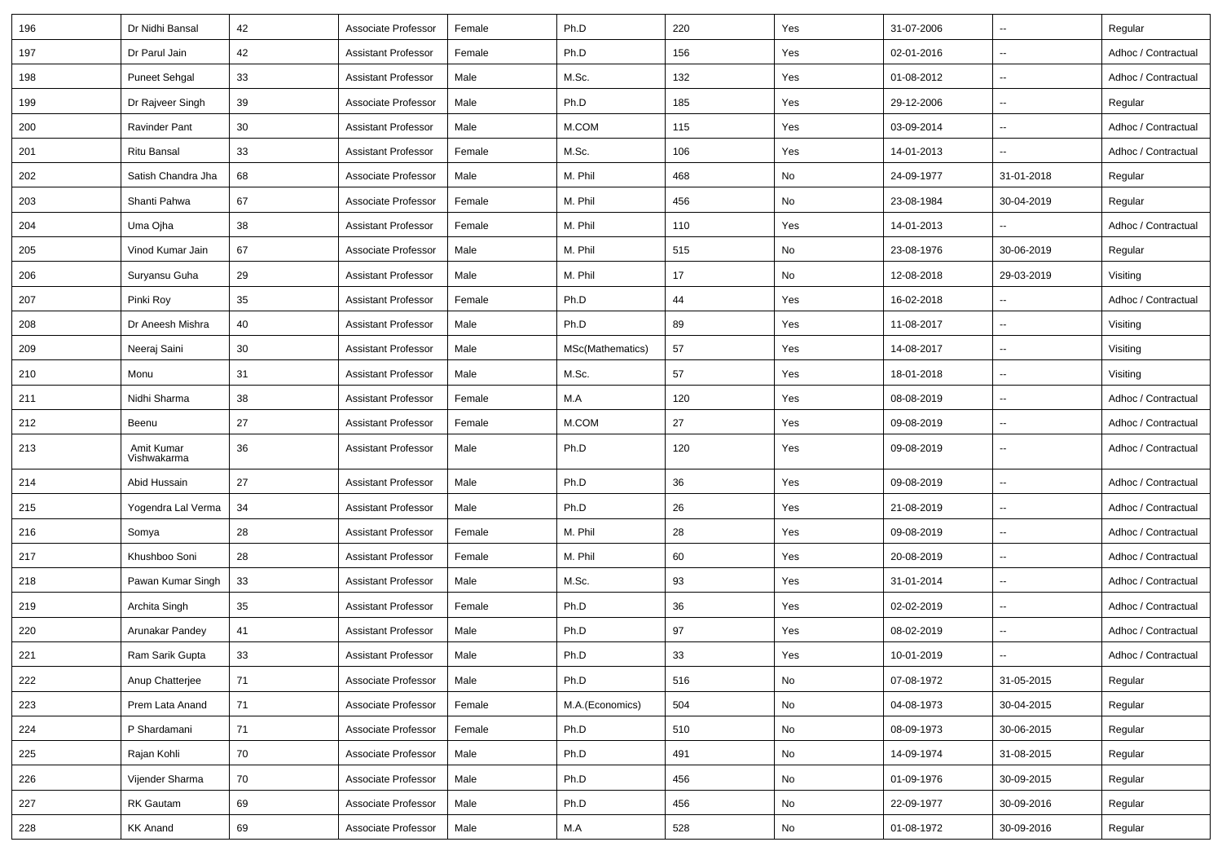| 196 | Dr Nidhi Bansal           | 42 | Associate Professor        | Female | Ph.D             | 220 | Yes | 31-07-2006 | Ξ.                       | Regular             |
|-----|---------------------------|----|----------------------------|--------|------------------|-----|-----|------------|--------------------------|---------------------|
| 197 | Dr Parul Jain             | 42 | <b>Assistant Professor</b> | Female | Ph.D             | 156 | Yes | 02-01-2016 | $\overline{\phantom{a}}$ | Adhoc / Contractual |
| 198 | <b>Puneet Sehgal</b>      | 33 | <b>Assistant Professor</b> | Male   | M.Sc.            | 132 | Yes | 01-08-2012 | $\sim$                   | Adhoc / Contractual |
| 199 | Dr Rajveer Singh          | 39 | Associate Professor        | Male   | Ph.D             | 185 | Yes | 29-12-2006 | --                       | Regular             |
| 200 | <b>Ravinder Pant</b>      | 30 | <b>Assistant Professor</b> | Male   | M.COM            | 115 | Yes | 03-09-2014 | $\sim$                   | Adhoc / Contractual |
| 201 | Ritu Bansal               | 33 | <b>Assistant Professor</b> | Female | M.Sc.            | 106 | Yes | 14-01-2013 | $\ddotsc$                | Adhoc / Contractual |
| 202 | Satish Chandra Jha        | 68 | Associate Professor        | Male   | M. Phil          | 468 | No  | 24-09-1977 | 31-01-2018               | Regular             |
| 203 | Shanti Pahwa              | 67 | Associate Professor        | Female | M. Phil          | 456 | No  | 23-08-1984 | 30-04-2019               | Regular             |
| 204 | Uma Ojha                  | 38 | <b>Assistant Professor</b> | Female | M. Phil          | 110 | Yes | 14-01-2013 | $\overline{\phantom{a}}$ | Adhoc / Contractual |
| 205 | Vinod Kumar Jain          | 67 | Associate Professor        | Male   | M. Phil          | 515 | No  | 23-08-1976 | 30-06-2019               | Regular             |
| 206 | Suryansu Guha             | 29 | <b>Assistant Professor</b> | Male   | M. Phil          | 17  | No  | 12-08-2018 | 29-03-2019               | Visiting            |
| 207 | Pinki Roy                 | 35 | <b>Assistant Professor</b> | Female | Ph.D             | 44  | Yes | 16-02-2018 | $\overline{\phantom{a}}$ | Adhoc / Contractual |
| 208 | Dr Aneesh Mishra          | 40 | <b>Assistant Professor</b> | Male   | Ph.D             | 89  | Yes | 11-08-2017 | $\overline{\phantom{a}}$ | Visiting            |
| 209 | Neeraj Saini              | 30 | <b>Assistant Professor</b> | Male   | MSc(Mathematics) | 57  | Yes | 14-08-2017 | $\overline{\phantom{a}}$ | Visiting            |
| 210 | Monu                      | 31 | <b>Assistant Professor</b> | Male   | M.Sc.            | 57  | Yes | 18-01-2018 | $\overline{\phantom{a}}$ | Visiting            |
| 211 | Nidhi Sharma              | 38 | <b>Assistant Professor</b> | Female | M.A              | 120 | Yes | 08-08-2019 | --                       | Adhoc / Contractual |
| 212 | Beenu                     | 27 | <b>Assistant Professor</b> | Female | M.COM            | 27  | Yes | 09-08-2019 | $\sim$                   | Adhoc / Contractual |
| 213 | Amit Kumar<br>Vishwakarma | 36 | <b>Assistant Professor</b> | Male   | Ph.D             | 120 | Yes | 09-08-2019 | --                       | Adhoc / Contractual |
| 214 | Abid Hussain              | 27 | <b>Assistant Professor</b> | Male   | Ph.D             | 36  | Yes | 09-08-2019 | --                       | Adhoc / Contractual |
| 215 | Yogendra Lal Verma        | 34 | <b>Assistant Professor</b> | Male   | Ph.D             | 26  | Yes | 21-08-2019 | $\overline{\phantom{a}}$ | Adhoc / Contractual |
| 216 | Somya                     | 28 | <b>Assistant Professor</b> | Female | M. Phil          | 28  | Yes | 09-08-2019 | $\overline{\phantom{a}}$ | Adhoc / Contractual |
| 217 | Khushboo Soni             | 28 | <b>Assistant Professor</b> | Female | M. Phil          | 60  | Yes | 20-08-2019 | $\overline{\phantom{a}}$ | Adhoc / Contractual |
| 218 | Pawan Kumar Singh         | 33 | <b>Assistant Professor</b> | Male   | M.Sc.            | 93  | Yes | 31-01-2014 | --                       | Adhoc / Contractual |
| 219 | Archita Singh             | 35 | <b>Assistant Professor</b> | Female | Ph.D             | 36  | Yes | 02-02-2019 | $\sim$                   | Adhoc / Contractual |
| 220 | Arunakar Pandey           | 41 | <b>Assistant Professor</b> | Male   | Ph.D             | 97  | Yes | 08-02-2019 | $\overline{\phantom{a}}$ | Adhoc / Contractual |
| 221 | Ram Sarik Gupta           | 33 | <b>Assistant Professor</b> | Male   | Ph.D             | 33  | Yes | 10-01-2019 | Ξ.                       | Adhoc / Contractual |
| 222 | Anup Chatterjee           | 71 | Associate Professor        | Male   | Ph.D             | 516 | No  | 07-08-1972 | 31-05-2015               | Regular             |
| 223 | Prem Lata Anand           | 71 | Associate Professor        | Female | M.A.(Economics)  | 504 | No  | 04-08-1973 | 30-04-2015               | Regular             |
| 224 | P Shardamani              | 71 | Associate Professor        | Female | Ph.D             | 510 | No  | 08-09-1973 | 30-06-2015               | Regular             |
| 225 | Rajan Kohli               | 70 | Associate Professor        | Male   | Ph.D             | 491 | No  | 14-09-1974 | 31-08-2015               | Regular             |
| 226 | Vijender Sharma           | 70 | Associate Professor        | Male   | Ph.D             | 456 | No  | 01-09-1976 | 30-09-2015               | Regular             |
| 227 | RK Gautam                 | 69 | Associate Professor        | Male   | Ph.D             | 456 | No  | 22-09-1977 | 30-09-2016               | Regular             |
| 228 | <b>KK Anand</b>           | 69 | Associate Professor        | Male   | M.A              | 528 | No  | 01-08-1972 | 30-09-2016               | Regular             |